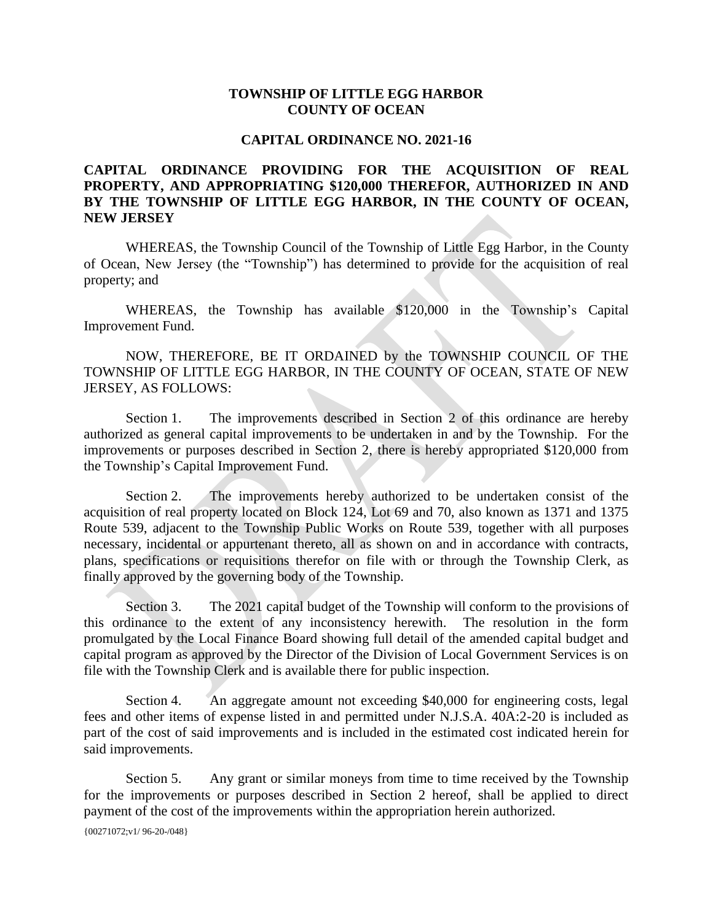## **TOWNSHIP OF LITTLE EGG HARBOR COUNTY OF OCEAN**

## **CAPITAL ORDINANCE NO. 2021-16**

## **CAPITAL ORDINANCE PROVIDING FOR THE ACQUISITION OF REAL PROPERTY, AND APPROPRIATING \$120,000 THEREFOR, AUTHORIZED IN AND BY THE TOWNSHIP OF LITTLE EGG HARBOR, IN THE COUNTY OF OCEAN, NEW JERSEY**

WHEREAS, the Township Council of the Township of Little Egg Harbor, in the County of Ocean, New Jersey (the "Township") has determined to provide for the acquisition of real property; and

WHEREAS, the Township has available \$120,000 in the Township's Capital Improvement Fund.

NOW, THEREFORE, BE IT ORDAINED by the TOWNSHIP COUNCIL OF THE TOWNSHIP OF LITTLE EGG HARBOR, IN THE COUNTY OF OCEAN, STATE OF NEW JERSEY, AS FOLLOWS:

Section 1. The improvements described in Section 2 of this ordinance are hereby authorized as general capital improvements to be undertaken in and by the Township. For the improvements or purposes described in Section 2, there is hereby appropriated \$120,000 from the Township's Capital Improvement Fund.

Section 2. The improvements hereby authorized to be undertaken consist of the acquisition of real property located on Block 124, Lot 69 and 70, also known as 1371 and 1375 Route 539, adjacent to the Township Public Works on Route 539, together with all purposes necessary, incidental or appurtenant thereto, all as shown on and in accordance with contracts, plans, specifications or requisitions therefor on file with or through the Township Clerk, as finally approved by the governing body of the Township.

Section 3. The 2021 capital budget of the Township will conform to the provisions of this ordinance to the extent of any inconsistency herewith. The resolution in the form promulgated by the Local Finance Board showing full detail of the amended capital budget and capital program as approved by the Director of the Division of Local Government Services is on file with the Township Clerk and is available there for public inspection.

Section 4. An aggregate amount not exceeding \$40,000 for engineering costs, legal fees and other items of expense listed in and permitted under N.J.S.A. 40A:2-20 is included as part of the cost of said improvements and is included in the estimated cost indicated herein for said improvements.

Section 5. Any grant or similar moneys from time to time received by the Township for the improvements or purposes described in Section 2 hereof, shall be applied to direct payment of the cost of the improvements within the appropriation herein authorized.

{00271072;v1/ 96-20-/048}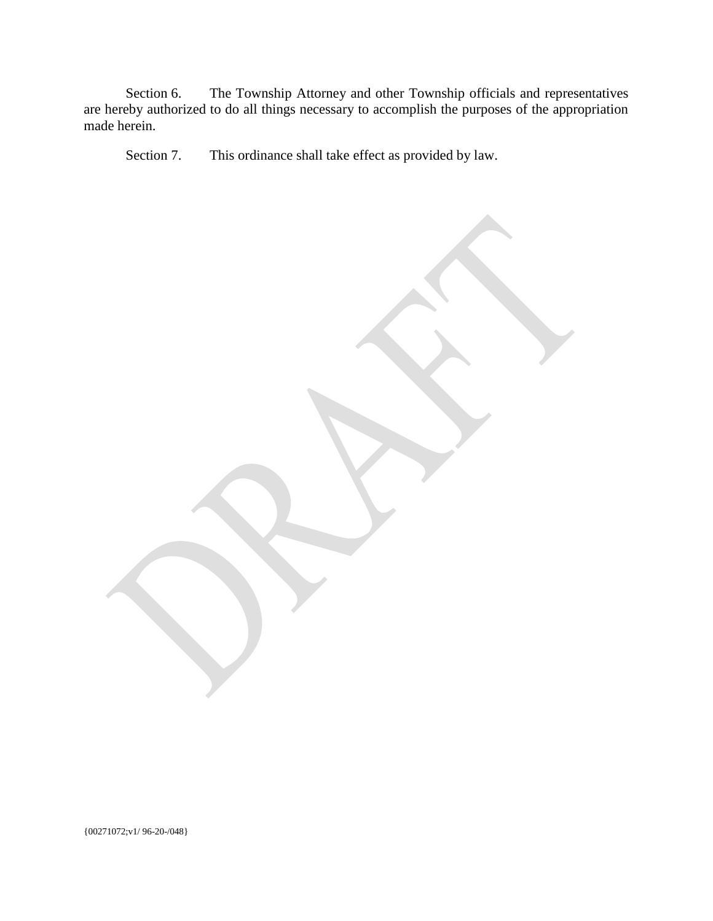Section 6. The Township Attorney and other Township officials and representatives are hereby authorized to do all things necessary to accomplish the purposes of the appropriation made herein.

Section 7. This ordinance shall take effect as provided by law.

{00271072;v1/ 96-20-/048}